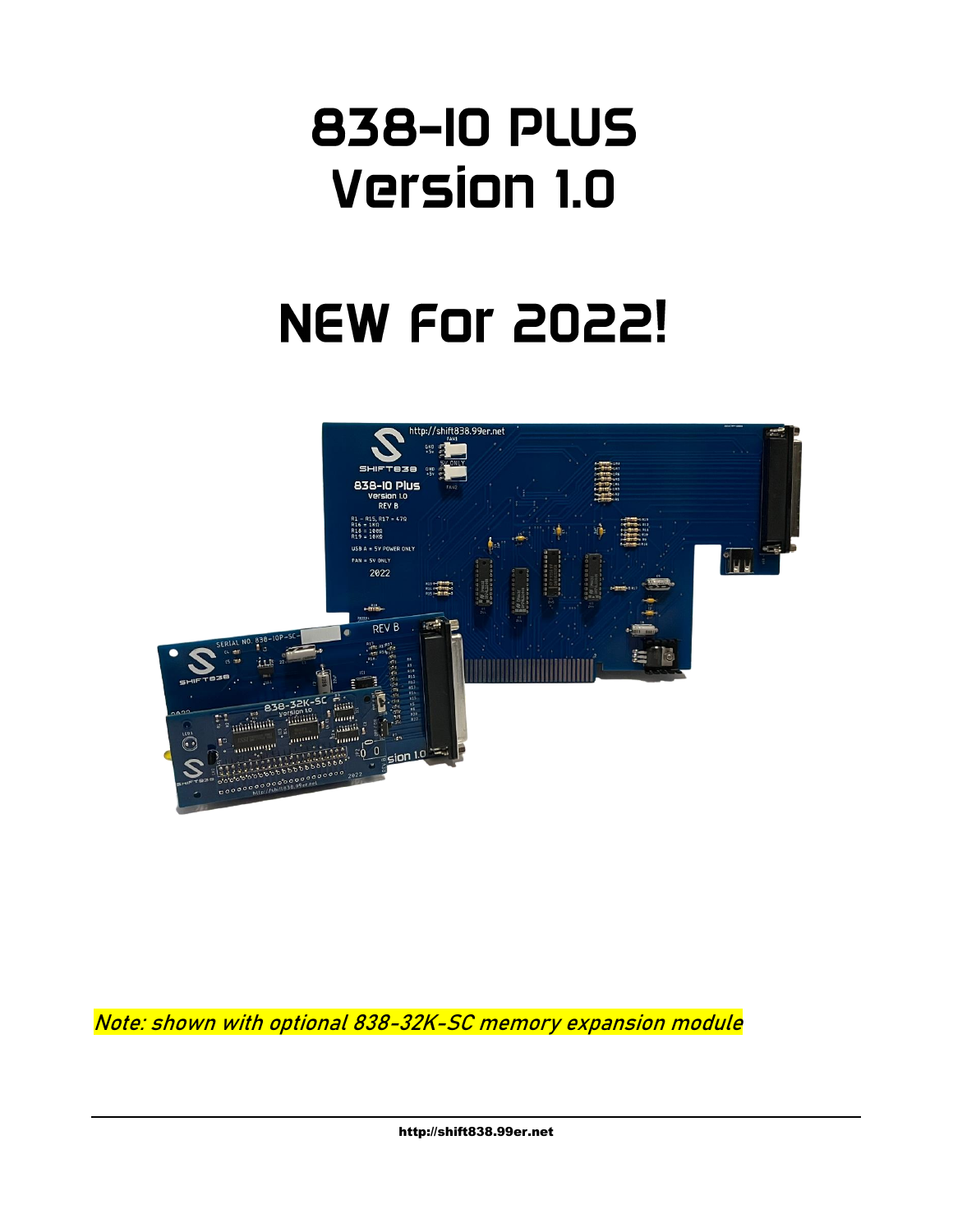## **838-10 PLUS Version 1.0**

# **NEW For 2022!**



Note: shown with optional 838-32K-SC memory expansion module

http://shift838.99er.net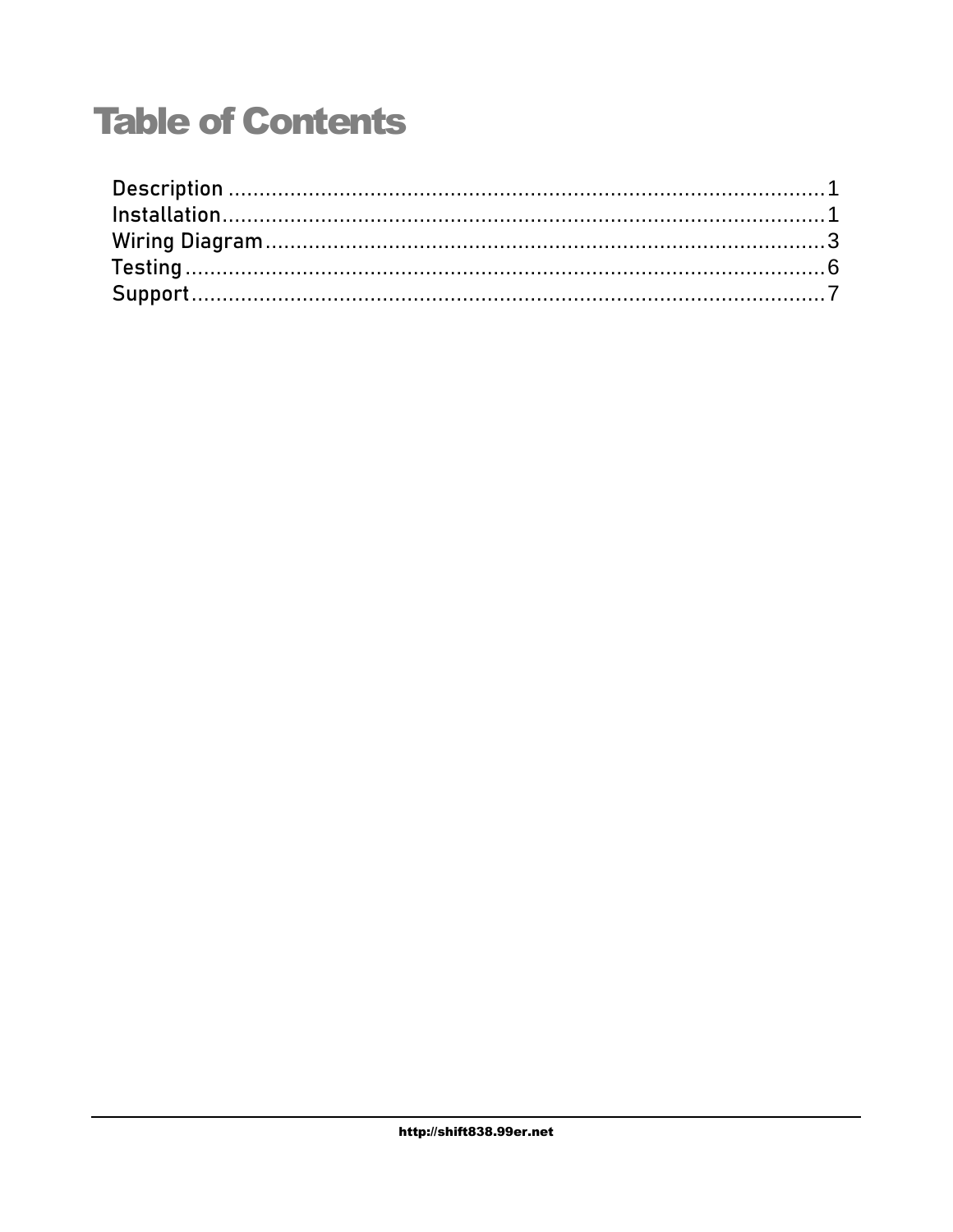## **Table of Contents**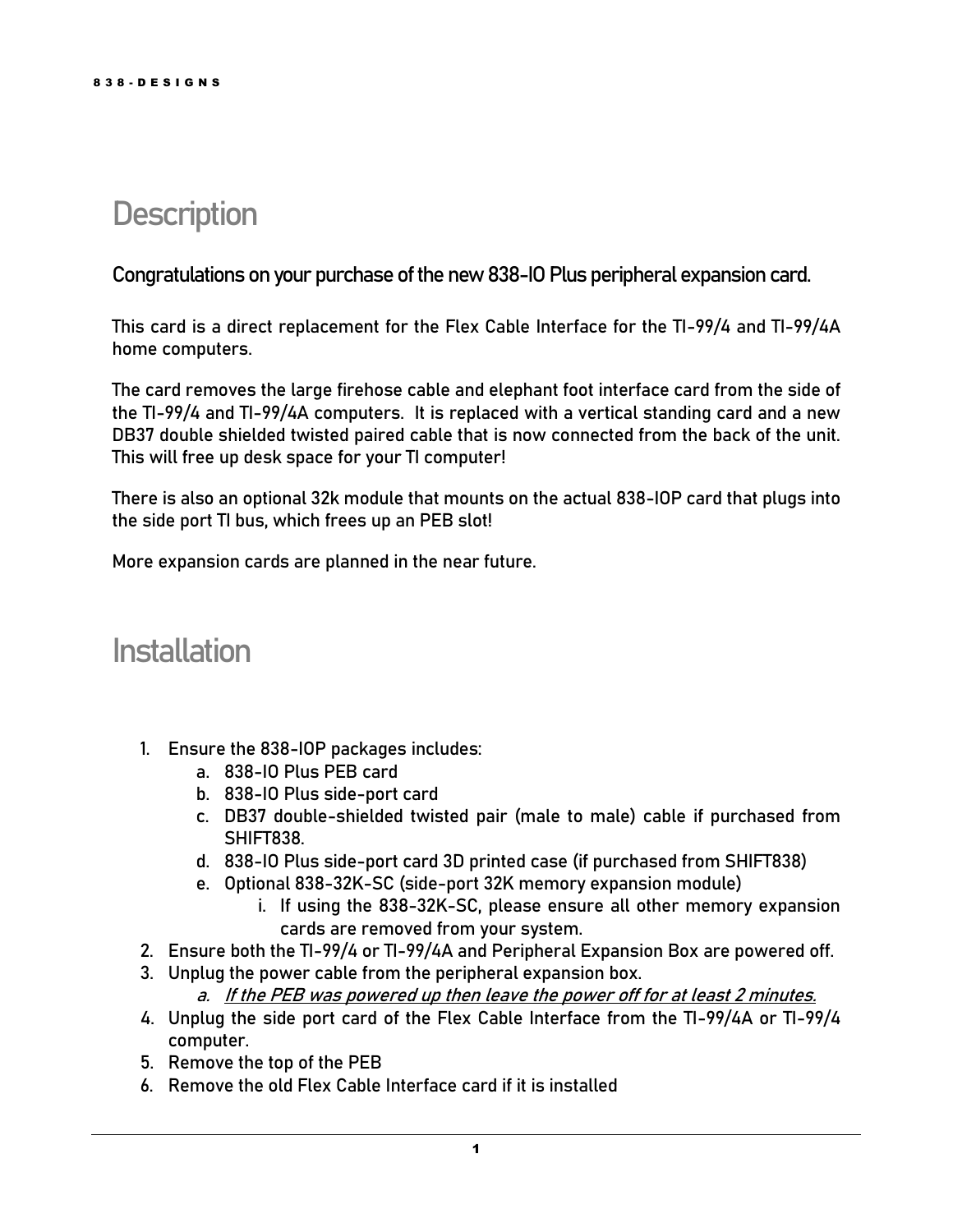#### <span id="page-2-0"></span>**Description**

Congratulations on your purchase of the new 838-IO Plus peripheral expansion card.

This card is a direct replacement for the Flex Cable Interface for the TI-99/4 and TI-99/4A home computers.

The card removes the large firehose cable and elephant foot interface card from the side of the TI-99/4 and TI-99/4A computers. It is replaced with a vertical standing card and a new DB37 double shielded twisted paired cable that is now connected from the back of the unit. This will free up desk space for your TI computer!

There is also an optional 32k module that mounts on the actual 838-IOP card that plugs into the side port TI bus, which frees up an PEB slot!

<span id="page-2-1"></span>More expansion cards are planned in the near future.

#### **Installation**

- 1. Ensure the 838-IOP packages includes:
	- a. 838-IO Plus PEB card
	- b. 838-IO Plus side-port card
	- c. DB37 double-shielded twisted pair (male to male) cable if purchased from SHIFT838.
	- d. 838-IO Plus side-port card 3D printed case (if purchased from SHIFT838)
	- e. Optional 838-32K-SC (side-port 32K memory expansion module)
		- i. If using the 838-32K-SC, please ensure all other memory expansion cards are removed from your system.
- 2. Ensure both the TI-99/4 or TI-99/4A and Peripheral Expansion Box are powered off.
- 3. Unplug the power cable from the peripheral expansion box.
	- a. **If the PEB was powered up then leave the power off for at least 2 minutes.**
- 4. Unplug the side port card of the Flex Cable Interface from the TI-99/4A or TI-99/4 computer.
- 5. Remove the top of the PEB
- 6. Remove the old Flex Cable Interface card if it is installed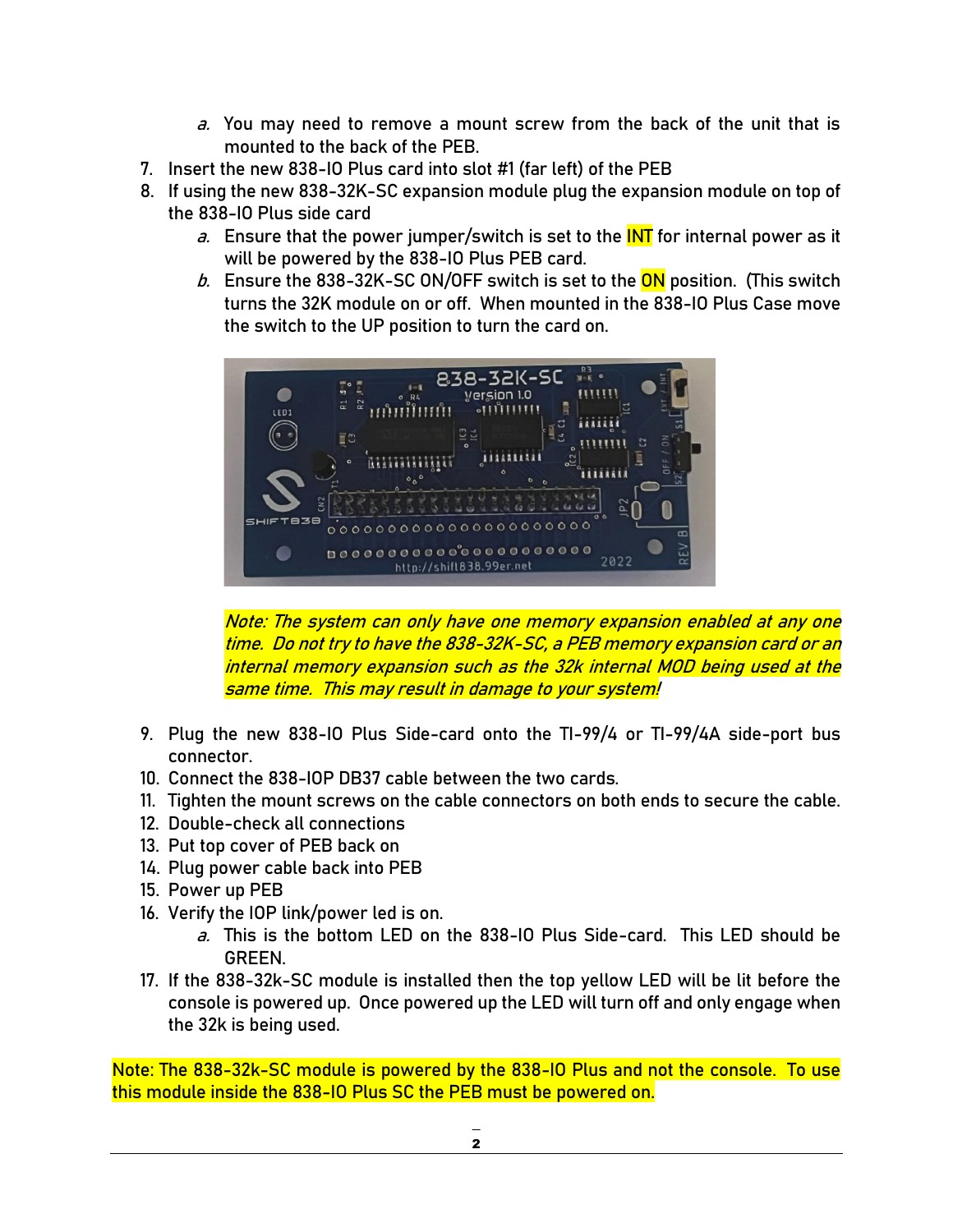- a. You may need to remove a mount screw from the back of the unit that is mounted to the back of the PEB.
- 7. Insert the new 838-IO Plus card into slot #1 (far left) of the PEB
- 8. If using the new 838-32K-SC expansion module plug the expansion module on top of the 838-IO Plus side card
	- a. Ensure that the power jumper/switch is set to the INT for internal power as it will be powered by the 838-IO Plus PEB card.
	- b. Ensure the 838-32K-SC ON/OFF switch is set to the  $\overline{ON}$  position. (This switch turns the 32K module on or off. When mounted in the 838-IO Plus Case move the switch to the UP position to turn the card on.



**Note: The system can only have one memory expansion enabled at any one time. Do not try to have the 838-32K-SC, a PEB memory expansion card or an internal memory expansion such as the 32k internal MOD being used at the same time. This may result in damage to your system!**

- 9. Plug the new 838-IO Plus Side-card onto the TI-99/4 or TI-99/4A side-port bus connector.
- 10. Connect the 838-IOP DB37 cable between the two cards.
- 11. Tighten the mount screws on the cable connectors on both ends to secure the cable.
- 12. Double-check all connections
- 13. Put top cover of PEB back on
- 14. Plug power cable back into PEB
- 15. Power up PEB
- 16. Verify the IOP link/power led is on.
	- a. This is the bottom LED on the 838-IO Plus Side-card. This LED should be GREEN.
- 17. If the 838-32k-SC module is installed then the top yellow LED will be lit before the console is powered up. Once powered up the LED will turn off and only engage when the 32k is being used.

Note: The 838-32k-SC module is powered by the 838-IO Plus and not the console. To use this module inside the 838-IO Plus SC the PEB must be powered on.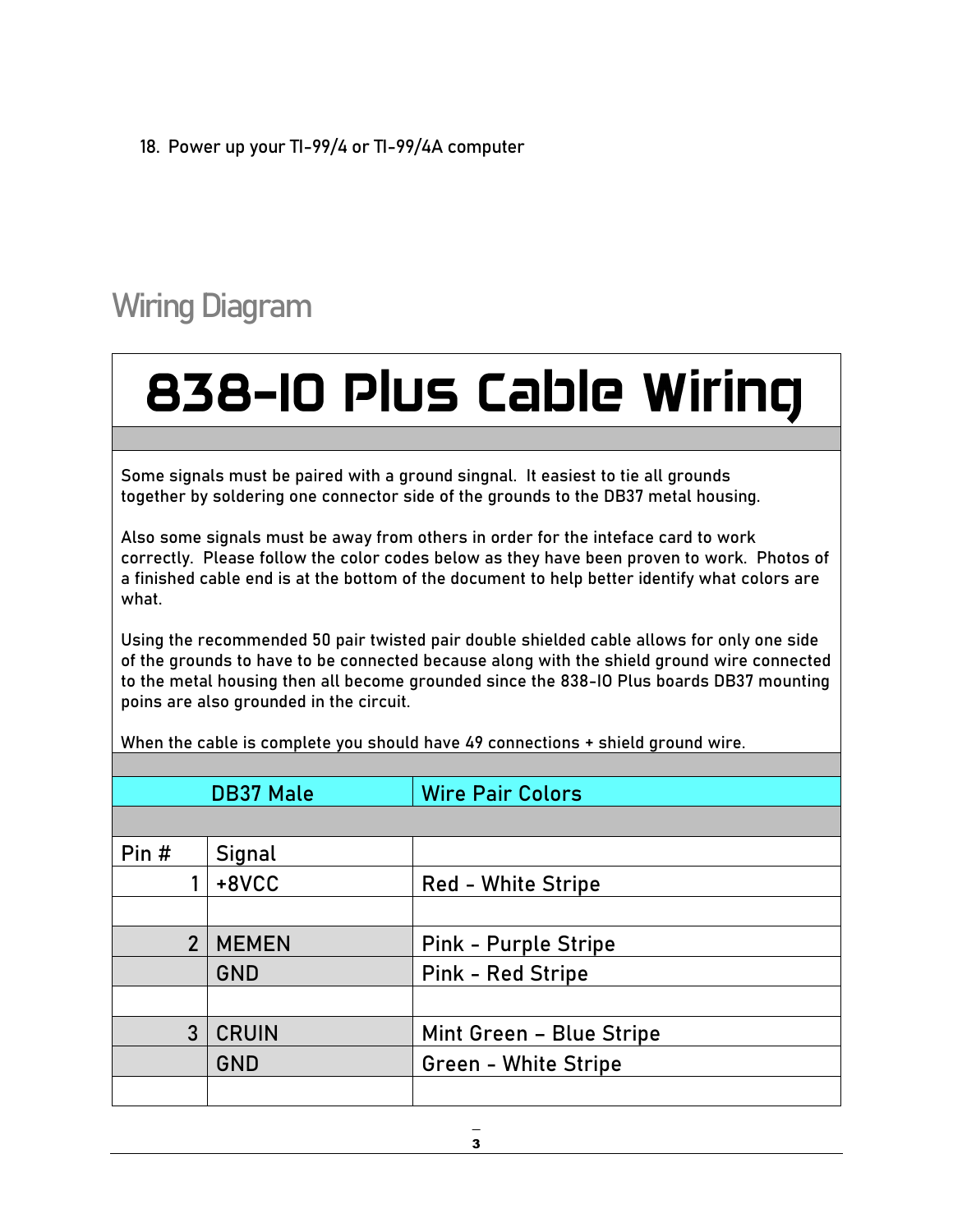18. Power up your TI-99/4 or TI-99/4A computer

## <span id="page-4-0"></span>Wiring Diagram

# 838-10 Plus Cable Wiring

Some signals must be paired with a ground singnal. It easiest to tie all grounds together by soldering one connector side of the grounds to the DB37 metal housing.

Also some signals must be away from others in order for the inteface card to work correctly. Please follow the color codes below as they have been proven to work. Photos of a finished cable end is at the bottom of the document to help better identify what colors are what.

Using the recommended 50 pair twisted pair double shielded cable allows for only one side of the grounds to have to be connected because along with the shield ground wire connected to the metal housing then all become grounded since the 838-IO Plus boards DB37 mounting poins are also grounded in the circuit.

DB37 Male Wire Pair Colors Pin  $#$  | Signal 1 +8VCC Red - White Stripe 2 | MEMEN | Pink - Purple Stripe GND | Pink - Red Stripe 3 | CRUIN | Mint Green – Blue Stripe GND Green - White Stripe

When the cable is complete you should have 49 connections + shield ground wire.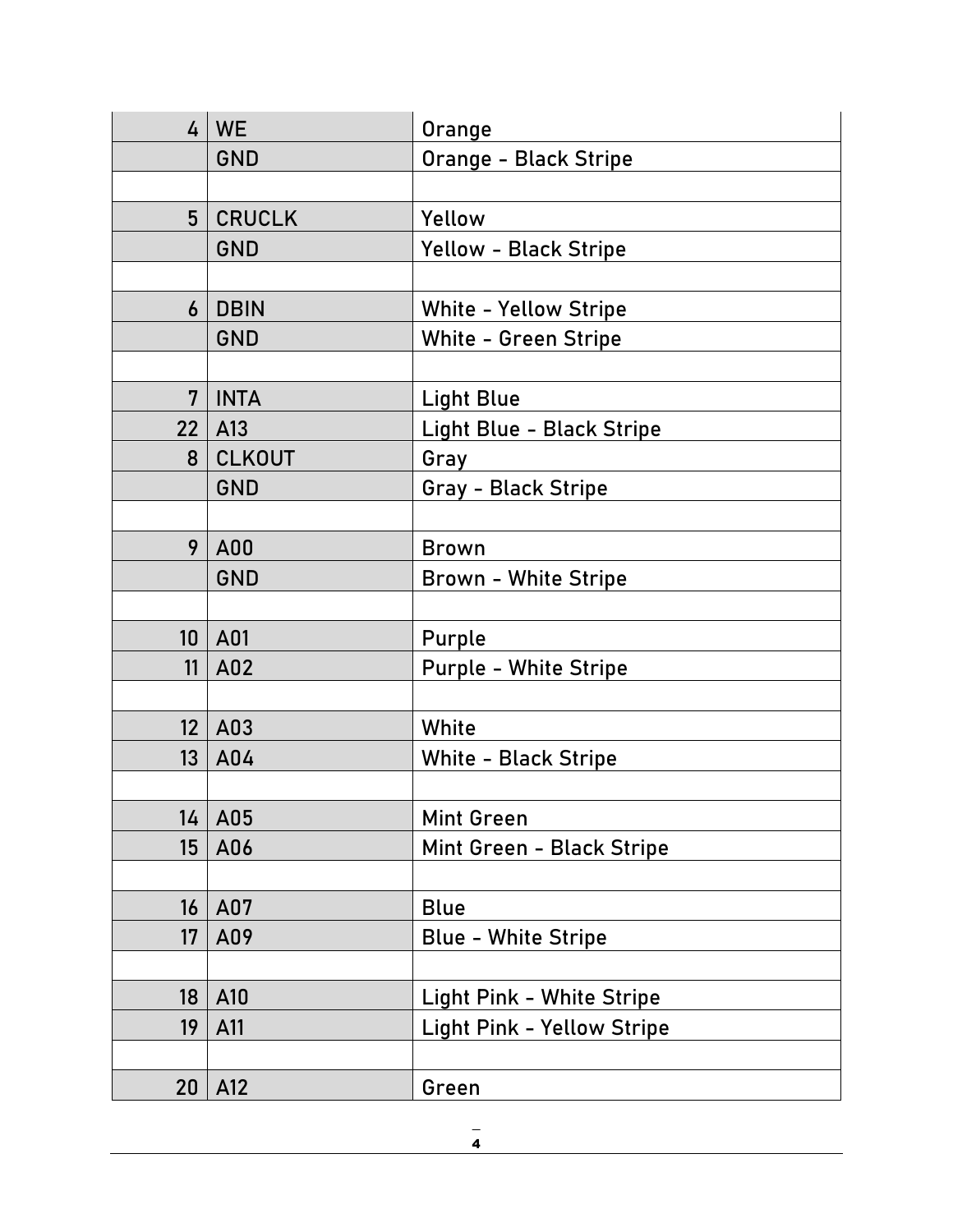|                 | $4 \mid WE$                      | Orange                            |
|-----------------|----------------------------------|-----------------------------------|
|                 | <b>GND</b>                       | Orange - Black Stripe             |
|                 |                                  |                                   |
| 5 <sup>5</sup>  | <b>CRUCLK</b>                    | Yellow                            |
|                 | <b>GND</b>                       | <b>Yellow - Black Stripe</b>      |
|                 |                                  |                                   |
| 6               | <b>DBIN</b>                      | <b>White - Yellow Stripe</b>      |
|                 | <b>GND</b>                       | <b>White - Green Stripe</b>       |
|                 |                                  |                                   |
| 7               | <b>INTA</b>                      | <b>Light Blue</b>                 |
| 22              | $ $ A <sub>13</sub>              | Light Blue - Black Stripe         |
| 8               | <b>CLKOUT</b>                    | Gray                              |
|                 | <b>GND</b>                       | Gray - Black Stripe               |
|                 |                                  |                                   |
| 9               | A00                              | <b>Brown</b>                      |
|                 | <b>GND</b>                       | <b>Brown - White Stripe</b>       |
|                 |                                  |                                   |
| 10              | $ $ A01                          | Purple                            |
|                 | $11$ $A02$                       | <b>Purple - White Stripe</b>      |
|                 |                                  |                                   |
| 12 <sup>°</sup> | $ $ A03                          | White                             |
| 13              | A04                              | <b>White - Black Stripe</b>       |
|                 |                                  |                                   |
|                 | $\overline{14}$ $\overline{A05}$ | Mint Green                        |
| 15              | A06                              | Mint Green - Black Stripe         |
|                 |                                  |                                   |
| 16              | A07                              | <b>Blue</b>                       |
| 17              | A09                              | <b>Blue - White Stripe</b>        |
|                 |                                  |                                   |
| 18              | A10                              | Light Pink - White Stripe         |
| 19              | A11                              | <b>Light Pink - Yellow Stripe</b> |
|                 |                                  |                                   |
| 20              | A12                              | Green                             |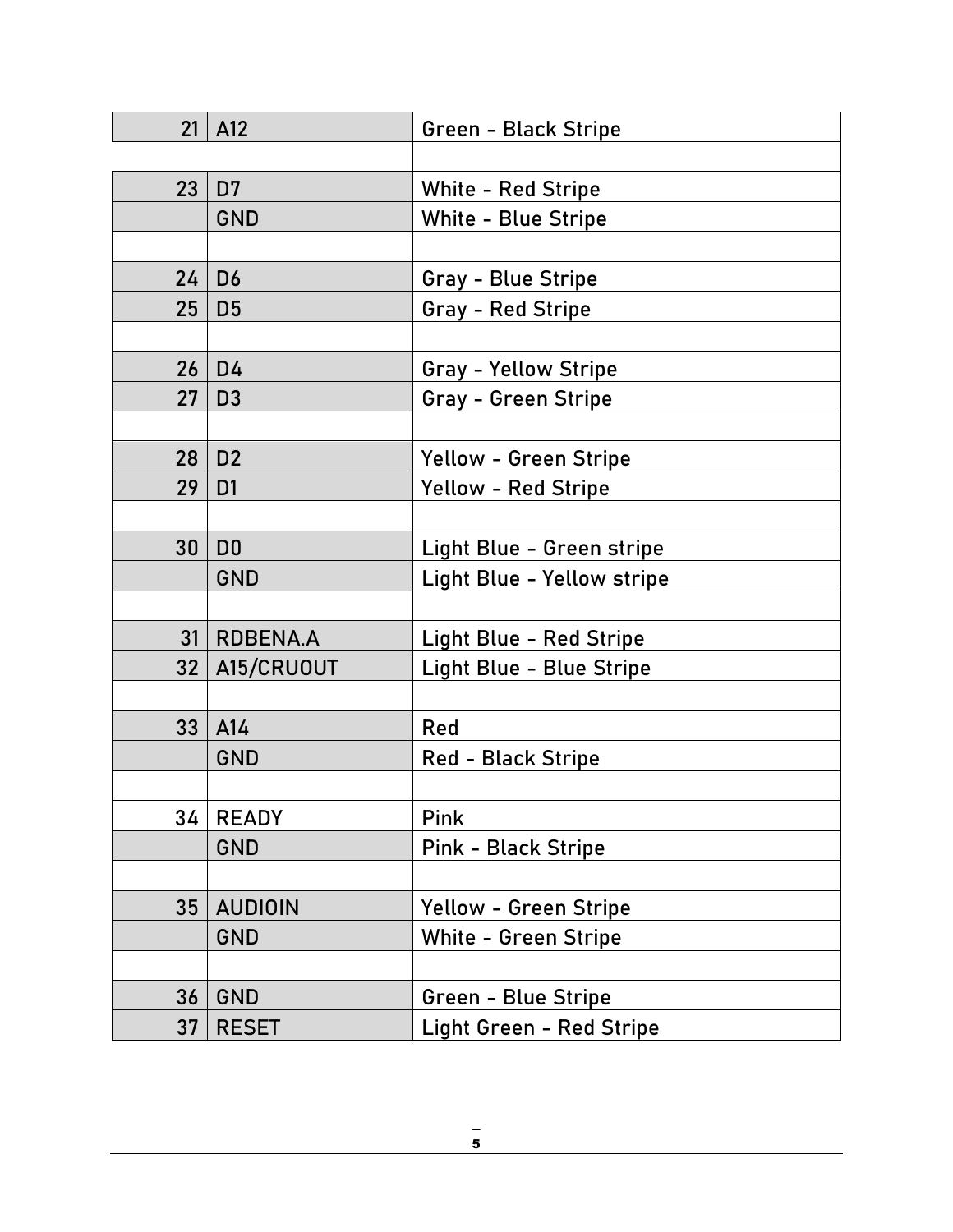|                 | $21$ A12       | Green - Black Stripe            |
|-----------------|----------------|---------------------------------|
|                 |                |                                 |
| 23              | D <sub>7</sub> | White - Red Stripe              |
|                 | <b>GND</b>     | White - Blue Stripe             |
|                 |                |                                 |
| 24              | D <sub>6</sub> | Gray - Blue Stripe              |
| 25              | D <sub>5</sub> | <b>Gray - Red Stripe</b>        |
|                 |                |                                 |
| 26              | D <sub>4</sub> | <b>Gray - Yellow Stripe</b>     |
| 27              | D <sub>3</sub> | Gray - Green Stripe             |
|                 |                |                                 |
| 28              | D <sub>2</sub> | <b>Yellow - Green Stripe</b>    |
| 29              | D <sub>1</sub> | <b>Yellow - Red Stripe</b>      |
|                 |                |                                 |
| 30              | D <sub>0</sub> | Light Blue - Green stripe       |
|                 | <b>GND</b>     | Light Blue - Yellow stripe      |
|                 |                |                                 |
| 31              | RDBENA.A       | <b>Light Blue - Red Stripe</b>  |
| 32 <sub>1</sub> | A15/CRUOUT     | Light Blue - Blue Stripe        |
|                 |                |                                 |
| 33              | A14            | Red                             |
|                 | <b>GND</b>     | <b>Red - Black Stripe</b>       |
|                 |                |                                 |
| 34              | <b>READY</b>   | Pink                            |
|                 | <b>GND</b>     | <b>Pink - Black Stripe</b>      |
|                 |                |                                 |
| 35              | <b>AUDIOIN</b> | <b>Yellow - Green Stripe</b>    |
|                 | <b>GND</b>     | <b>White - Green Stripe</b>     |
|                 |                |                                 |
| 36              | <b>GND</b>     | Green - Blue Stripe             |
| 37              | <b>RESET</b>   | <b>Light Green - Red Stripe</b> |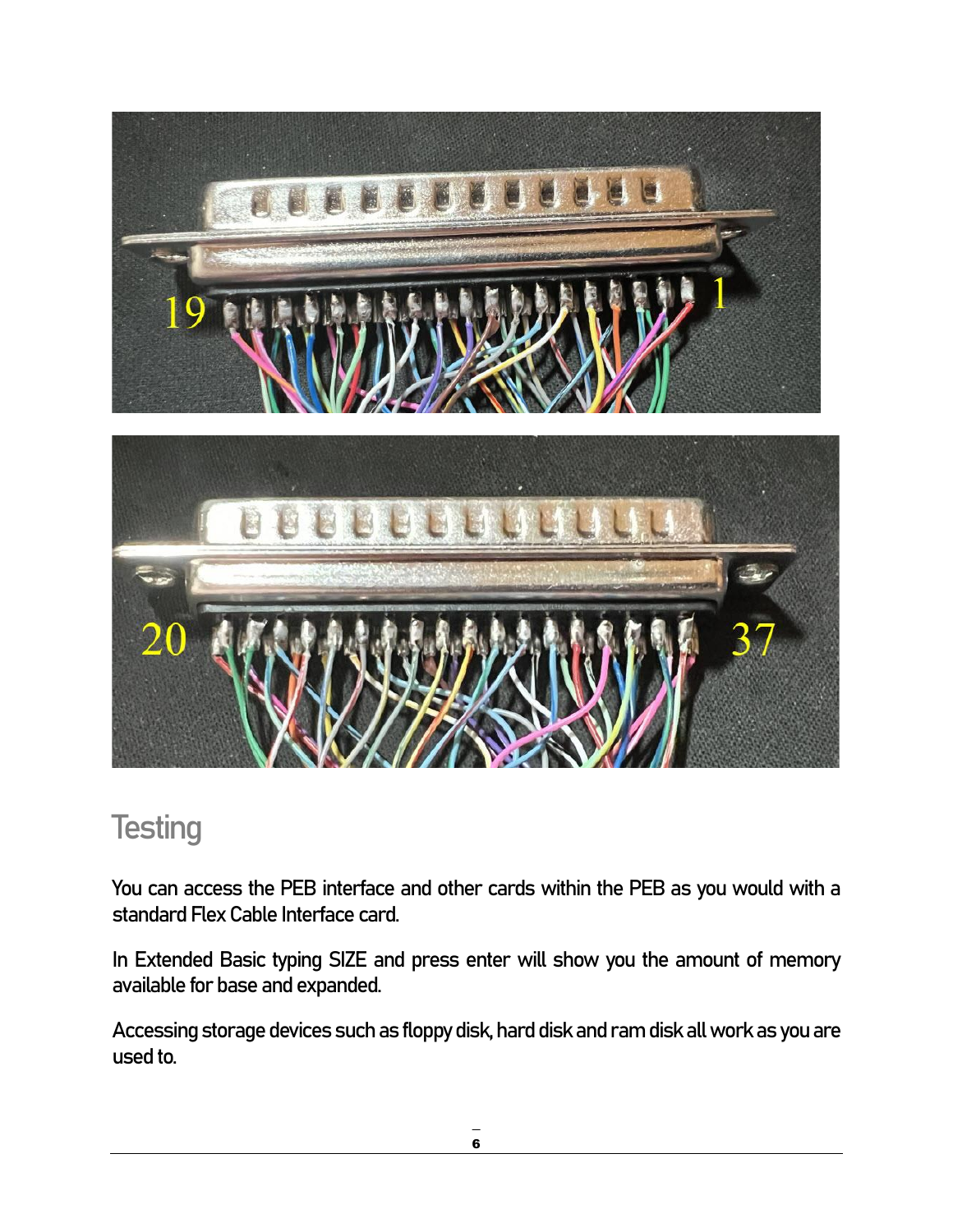

#### <span id="page-7-0"></span>**Testing**

You can access the PEB interface and other cards within the PEB as you would with a standard Flex Cable Interface card.

In Extended Basic typing SIZE and press enter will show you the amount of memory available for base and expanded.

Accessing storage devices such as floppy disk, hard disk and ram disk all work as you are used to.